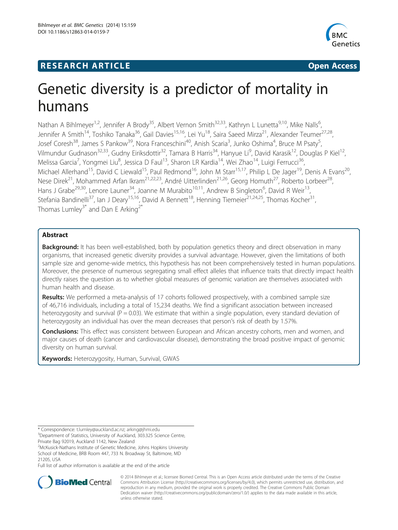# **RESEARCH ARTICLE Example 2014 CONSIDERING CONSIDERING CONSIDERING CONSIDERING CONSIDERING CONSIDERING CONSIDERING CONSIDERING CONSIDERING CONSIDERING CONSIDERING CONSIDERING CONSIDERING CONSIDERING CONSIDERING CONSIDE**



# Genetic diversity is a predictor of mortality in humans

Nathan A Bihlmeyer<sup>1,2</sup>, Jennifer A Brody<sup>35</sup>, Albert Vernon Smith<sup>32,33</sup>, Kathryn L Lunetta<sup>9,10</sup>, Mike Nalls<sup>6</sup>, , Jennifer A Smith<sup>14</sup>, Toshiko Tanaka<sup>36</sup>, Gail Davies<sup>15,16</sup>, Lei Yu<sup>18</sup>, Saira Saeed Mirza<sup>21</sup>, Alexander Teumer<sup>27,28</sup>, Josef Coresh<sup>38</sup>, James S Pankow<sup>39</sup>, Nora Franceschini<sup>40</sup>, Anish Scaria<sup>3</sup>, Junko Oshima<sup>4</sup>, Bruce M Psaty<sup>5</sup> , Vilmundur Gudnason<sup>32,33</sup>, Gudny Eiriksdottir<sup>32</sup>, Tamara B Harris<sup>34</sup>, Hanyue Li<sup>9</sup>, David Karasik<sup>12</sup>, Douglas P Kiel<sup>12</sup>, Melissa Garcia<sup>7</sup>, Yongmei Liu<sup>8</sup>, Jessica D Faul<sup>13</sup>, Sharon LR Kardia<sup>14</sup>, Wei Zhao<sup>14</sup>, Luigi Ferrucci<sup>36</sup>, Michael Allerhand<sup>15</sup>, David C Liewald<sup>15</sup>, Paul Redmond<sup>16</sup>, John M Starr<sup>15,17</sup>, Philip L De Jager<sup>19</sup>, Denis A Evans<sup>20</sup>, Nese Direk<sup>21</sup>, Mohammed Arfan Ikram<sup>21,22,23</sup>, André Uitterlinden<sup>21,26</sup>, Georg Homuth<sup>27</sup>, Roberto Lorbeer<sup>28</sup>, Hans J Grabe<sup>29,30</sup>, Lenore Launer<sup>34</sup>, Joanne M Murabito<sup>10,11</sup>, Andrew B Singleton<sup>6</sup>, David R Weir<sup>13</sup>, Stefania Bandinelli<sup>37</sup>, Ian J Deary<sup>15,16</sup>, David A Bennett<sup>18</sup>, Henning Tiemeier<sup>21,24,25</sup>, Thomas Kocher<sup>31</sup>, Thomas Lumley<sup>3\*</sup> and Dan E Arking<sup>2\*</sup>

# Abstract

**Background:** It has been well-established, both by population genetics theory and direct observation in many organisms, that increased genetic diversity provides a survival advantage. However, given the limitations of both sample size and genome-wide metrics, this hypothesis has not been comprehensively tested in human populations. Moreover, the presence of numerous segregating small effect alleles that influence traits that directly impact health directly raises the question as to whether global measures of genomic variation are themselves associated with human health and disease.

Results: We performed a meta-analysis of 17 cohorts followed prospectively, with a combined sample size of 46,716 individuals, including a total of 15,234 deaths. We find a significant association between increased heterozygosity and survival ( $P = 0.03$ ). We estimate that within a single population, every standard deviation of heterozygosity an individual has over the mean decreases that person's risk of death by 1.57%.

**Conclusions:** This effect was consistent between European and African ancestry cohorts, men and women, and major causes of death (cancer and cardiovascular disease), demonstrating the broad positive impact of genomic diversity on human survival.

Keywords: Heterozygosity, Human, Survival, GWAS

Full list of author information is available at the end of the article



© 2014 Bihlmeyer et al.; licensee Biomed Central. This is an Open Access article distributed under the terms of the Creative Commons Attribution License [\(http://creativecommons.org/licenses/by/4.0\)](http://creativecommons.org/licenses/by/4.0), which permits unrestricted use, distribution, and reproduction in any medium, provided the original work is properly credited. The Creative Commons Public Domain Dedication waiver [\(http://creativecommons.org/publicdomain/zero/1.0/](http://creativecommons.org/publicdomain/zero/1.0/)) applies to the data made available in this article, unless otherwise stated.

<sup>\*</sup> Correspondence: [t.lumley@auckland.ac.nz](mailto:t.lumley@auckland.ac.nz); [arking@jhmi.edu](mailto:arking@jhmi.edu) <sup>3</sup>

<sup>&</sup>lt;sup>3</sup>Department of Statistics, University of Auckland, 303.325 Science Centre, Private Bag 92019, Auckland 1142, New Zealand

<sup>&</sup>lt;sup>2</sup>McKusick-Nathans Institute of Genetic Medicine, Johns Hopkins University School of Medicine, BRB Room 447, 733 N. Broadway St, Baltimore, MD 21205, USA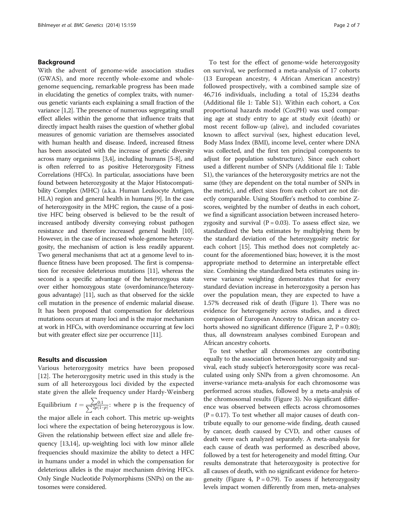#### Background

With the advent of genome-wide association studies (GWAS), and more recently whole-exome and wholegenome sequencing, remarkable progress has been made in elucidating the genetics of complex traits, with numerous genetic variants each explaining a small fraction of the variance [\[1,2](#page-6-0)]. The presence of numerous segregating small effect alleles within the genome that influence traits that directly impact health raises the question of whether global measures of genomic variation are themselves associated with human health and disease. Indeed, increased fitness has been associated with the increase of genetic diversity across many organisms [\[3,4\]](#page-6-0), including humans [\[5](#page-6-0)-[8](#page-6-0)], and is often referred to as positive Heterozygosity Fitness Correlations (HFCs). In particular, associations have been found between heterozygosity at the Major Histocompatibility Complex (MHC) (a.k.a. Human Leukocyte Antigen, HLA) region and general health in humans [\[9](#page-6-0)]. In the case of heterozygosity in the MHC region, the cause of a positive HFC being observed is believed to be the result of increased antibody diversity conveying robust pathogen resistance and therefore increased general health [\[10](#page-6-0)]. However, in the case of increased whole-genome heterozygosity, the mechanism of action is less readily apparent. Two general mechanisms that act at a genome level to influence fitness have been proposed. The first is compensation for recessive deleterious mutations [[11](#page-6-0)], whereas the second is a specific advantage of the heterozygous state over either homozygous state (overdominance/heterozygous advantage) [[11](#page-6-0)], such as that observed for the sickle cell mutation in the presence of endemic malarial disease. It has been proposed that compensation for deleterious mutations occurs at many loci and is the major mechanism at work in HFCs, with overdominance occurring at few loci but with greater effect size per occurrence [\[11\]](#page-6-0).

#### Results and discussion

Various heterozygosity metrics have been proposed [[12\]](#page-6-0). The heterozygosity metric used in this study is the sum of all heterozygous loci divided by the expected state given the allele frequency under Hardy-Weinberg Equilibrium  $t = \frac{\sum_{p} p}{\sum_{p} q_p}$  $\sum$  $\frac{\sum_{i=0}^{n} 0;1}{2p(1-p)}$ : where p is the frequency of the major allele in each cohort. This metric up-weights loci where the expectation of being heterozygous is low. Given the relationship between effect size and allele frequency [\[13,14](#page-6-0)], up-weighting loci with low minor allele frequencies should maximize the ability to detect a HFC in humans under a model in which the compensation for deleterious alleles is the major mechanism driving HFCs. Only Single Nucleotide Polymorphisms (SNPs) on the autosomes were considered.

To test for the effect of genome-wide heterozygosity on survival, we performed a meta-analysis of 17 cohorts (13 European ancestry, 4 African American ancestry) followed prospectively, with a combined sample size of 46,716 individuals, including a total of 15,234 deaths (Additional file [1:](#page-5-0) Table S1). Within each cohort, a Cox proportional hazards model (CoxPH) was used comparing age at study entry to age at study exit (death) or most recent follow-up (alive), and included covariates known to affect survival (sex, highest education level, Body Mass Index (BMI), income level, center where DNA was collected, and the first ten principal components to adjust for population substructure). Since each cohort used a different number of SNPs (Additional file [1](#page-5-0): Table S1), the variances of the heterozygosity metrics are not the same (they are dependent on the total number of SNPs in the metric), and effect sizes from each cohort are not directly comparable. Using Stouffer's method to combine Zscores, weighted by the number of deaths in each cohort, we find a significant association between increased heterozygosity and survival  $(P = 0.03)$ . To assess effect size, we standardized the beta estimates by multiplying them by the standard deviation of the heterozygosity metric for each cohort [\[15\]](#page-6-0). This method does not completely account for the aforementioned bias; however, it is the most appropriate method to determine an interpretable effect size. Combining the standardized beta estimates using inverse variance weighting demonstrates that for every standard deviation increase in heterozygosity a person has over the population mean, they are expected to have a 1.57% decreased risk of death (Figure [1](#page-2-0)). There was no evidence for heterogeneity across studies, and a direct comparison of European Ancestry to African ancestry co-horts showed no significant difference (Figure [2,](#page-2-0)  $P = 0.80$ ); thus, all downstream analyses combined European and African ancestry cohorts.

To test whether all chromosomes are contributing equally to the association between heterozygosity and survival, each study subject's heterozygosity score was recalculated using only SNPs from a given chromosome. An inverse-variance meta-analysis for each chromosome was performed across studies, followed by a meta-analysis of the chromosomal results (Figure [3](#page-3-0)). No significant difference was observed between effects across chromosomes  $(P = 0.17)$ . To test whether all major causes of death contribute equally to our genome-wide finding, death caused by cancer, death caused by CVD, and other causes of death were each analyzed separately. A meta-analysis for each cause of death was performed as described above, followed by a test for heterogeneity and model fitting. Our results demonstrate that heterozygosity is protective for all causes of death, with no significant evidence for hetero-geneity (Figure [4,](#page-3-0)  $P = 0.79$ ). To assess if heterozygosity levels impact women differently from men, meta-analyses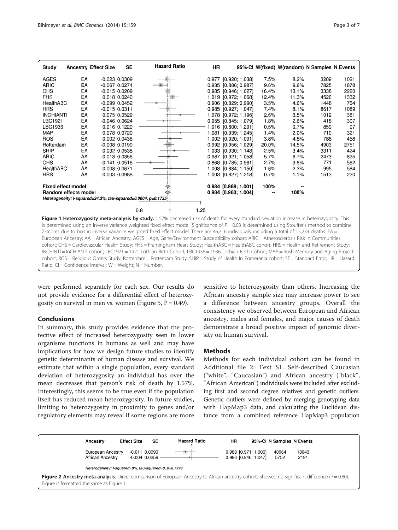<span id="page-2-0"></span>

|                                                                                | 3209 |      |  |  |  |  |
|--------------------------------------------------------------------------------|------|------|--|--|--|--|
| AGES<br>EA<br>$-0.023$ $0.0309$<br>0.977 [0.920; 1.038]<br>7.5%<br>8.2%        |      | 1021 |  |  |  |  |
| <b>ARIC</b><br>EA<br>$-0.067$ $0.0274$<br>0.935 [0.886; 0.987]<br>9.6%<br>9.6% | 7825 | 1878 |  |  |  |  |
| CHS<br>EA<br>$-0.015$ 0.0209<br>0.985 [0.946; 1.027]<br>16.4%<br>13.1%         | 3338 | 2220 |  |  |  |  |
| <b>FHS</b><br>EA<br>1.019 [0.972; 1.068]<br>12.4%<br>0.018 0.0240<br>11.3%     | 4526 | 1332 |  |  |  |  |
| EA<br>HealthABC<br>3.5%<br>$-0.099$ $0.0452$<br>0.906 [0.829; 0.990]<br>4.6%   | 1448 | 764  |  |  |  |  |
| <b>HRS</b><br>EA<br>0.985 [0.927; 1.047]<br>7.4%<br>$-0.015$ $0.0311$<br>8.1%  | 8617 | 1089 |  |  |  |  |
| <b>INCHIANTI</b><br>EA<br>1.078 [0.972; 1.196]<br>0.075 0.0529<br>2.6%<br>3.5% | 1012 | 381  |  |  |  |  |
| LBC1921<br>EA<br>0.955 [0.845; 1.079]<br>1.8%<br>$-0.046$ 0.0624<br>2.6%       | 418  | 307  |  |  |  |  |
| LBC1936<br>EA<br>1.016 [0.800; 1.291]<br>0.5%<br>0.016 0.1220<br>0.7%          | 859  | 97   |  |  |  |  |
| <b>MAP</b><br>EA<br>1.4%<br>0.078 0.0720<br>2.0%<br>1.081 [0.939; 1.245]       | 710  | 321  |  |  |  |  |
| <b>ROS</b><br>EA<br>0.002 0.0436<br>1.002 [0.920; 1.091]<br>3.8%<br>4.8%       | 788  | 458  |  |  |  |  |
| EA<br>Rotterdam<br>0.992 [0.956; 1.029]<br>$-0.008$ $0.0190$<br>20.0%<br>14.5% | 4903 | 2751 |  |  |  |  |
| <b>SHIP</b><br>EA<br>1.033 [0.930; 1.148]<br>2.5%<br>0.032 0.0538<br>3.4%      | 3311 | 424  |  |  |  |  |
| ARIC<br>AA<br>5.7%<br>$-0.013$ $0.0356$<br>0.987 [0.921; 1.058]<br>6.7%        | 2473 | 825  |  |  |  |  |
| CHS<br>2.7%<br>AA<br>$-0.141$ $0.0516$<br>3.6%<br>0.868 [0.785; 0.961]         | 771  | 562  |  |  |  |  |
| HealthABC<br>AA<br>0.008 0.0671<br>1.008 [0.884; 1.150]<br>1.6%<br>2.3%        | 995  | 584  |  |  |  |  |
| <b>HRS</b><br>AA<br>0.003 0.0988<br>1.003 [0.827; 1.218]<br>0.7%<br>1.1%       | 1513 | 220  |  |  |  |  |
| 100%<br><b>Fixed effect model</b><br>$0.984$ [0.968; 1.001]                    |      |      |  |  |  |  |
| Random effects model<br>0.984 [0.963; 1.004]<br>100%                           |      |      |  |  |  |  |
| Heterogeneity: I-squared=24.3%, tau-squared=0.0004, p=0.1735                   |      |      |  |  |  |  |
| 0.8<br>1.25                                                                    |      |      |  |  |  |  |

Figure 1 Heterozygosity meta-analysis by study. 1.57% decreased risk of death for every standard deviation increase in heterozygosity. This is determined using an inverse variance weighted fixed effect model. Significance of  $P = 0.03$  is determined using Stouffer's method to combine Z-scores due to bias in inverse variance weighted fixed effect model. There are 46,716 individuals, including a total of 15,234 deaths. EA = European Ancestry; AA = African Ancestry; AGES = Age, Gene/Environment Susceptibility cohort; ARIC = Atherosclerosis Risk In Communities cohort; CHS = Cardiovascular Health Study; FHS = Framingham Heart Study; HealthABC = HealthABC cohort; HRS = Health and Retirement Study; INCHINTI = InCHIANTI cohort; LBC1921 = 1921 Lothian Birth Cohort; LBC1936 = 1936 Lothian Birth Cohort; MAP = Rush Memory and Aging Project cohort; ROS = Religious Orders Study; Rotterdam = Rotterdam Study; SHIP = Study of Health In Pomerania cohort; SE = Standard Error; HR = Hazard Ratio;  $CI =$  Confidence Interval;  $W =$  Weight;  $N =$  Number.

were performed separately for each sex. Our results do not provide evidence for a differential effect of heterozy-gosity on survival in men vs. women (Figure [5,](#page-4-0)  $P = 0.49$ ).

# Conclusions

In summary, this study provides evidence that the protective effect of increased heterozygosity seen in lower organisms functions in humans as well and may have implications for how we design future studies to identify genetic determinants of human disease and survival. We estimate that within a single population, every standard deviation of heterozygosity an individual has over the mean decreases that person's risk of death by 1.57%. Interestingly, this seems to be true even if the population itself has reduced mean heterozygosity. In future studies, limiting to heterozygosity in proximity to genes and/or regulatory elements may reveal if some regions are more

sensitive to heterozygosity than others. Increasing the African ancestry sample size may increase power to see a difference between ancestry groups. Overall the consistency we observed between European and African ancestry, males and females, and major causes of death demonstrate a broad positive impact of genomic diversity on human survival.

#### **Methods**

Methods for each individual cohort can be found in Additional file [2](#page-5-0): Text S1. Self-described Caucasian ("white", "Caucasian") and African ancestry ("black", "African American") individuals were included after excluding first and second degree relatives and genetic outliers. Genetic outliers were defined by merging genotyping data with HapMap3 data, and calculating the Euclidean distance from a combined reference HapMap3 population

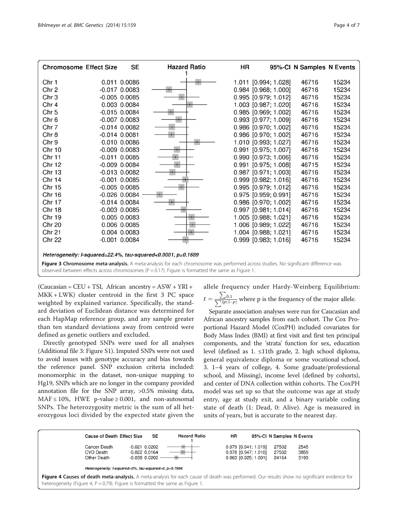<span id="page-3-0"></span>

| <b>Chromosome Effect Size</b>                                                                                                      |  | <b>SE</b>         | <b>Hazard Ratio</b> | HR |                        | 95%-CI N Samples N Events |       |
|------------------------------------------------------------------------------------------------------------------------------------|--|-------------------|---------------------|----|------------------------|---------------------------|-------|
| Chr 1                                                                                                                              |  | 0.011 0.0086      |                     |    | 1.011 [0.994; 1.028]   | 46716                     | 15234 |
| Chr <sub>2</sub>                                                                                                                   |  | $-0.017$ 0.0083   |                     |    | 0.984 [0.968; 1.000]   | 46716                     | 15234 |
| Chr <sub>3</sub>                                                                                                                   |  | $-0.005$ $0.0085$ |                     |    | 0.995 [0.979; 1.012]   | 46716                     | 15234 |
| Chr 4                                                                                                                              |  | 0.003 0.0084      |                     |    | 1.003 [0.987; 1.020]   | 46716                     | 15234 |
| Chr <sub>5</sub>                                                                                                                   |  | $-0.015$ $0.0084$ |                     |    | 0.985 [0.969; 1.002]   | 46716                     | 15234 |
| Chr 6                                                                                                                              |  | $-0.007$ 0.0083   |                     |    | 0.993 [0.977; 1.009]   | 46716                     | 15234 |
| Chr 7                                                                                                                              |  | $-0.014$ $0.0082$ |                     |    | 0.986 [0.970; 1.002]   | 46716                     | 15234 |
| Chr 8                                                                                                                              |  | $-0.014$ $0.0081$ |                     |    | 0.986 [0.970; 1.002]   | 46716                     | 15234 |
| Chr 9                                                                                                                              |  | 0.010 0.0086      |                     |    | 1.010 [0.993; 1.027]   | 46716                     | 15234 |
| <b>Chr 10</b>                                                                                                                      |  | $-0.009$ $0.0083$ |                     |    | 0.991 [0.975; 1.007]   | 46716                     | 15234 |
| <b>Chr 11</b>                                                                                                                      |  | $-0.011$ $0.0085$ |                     |    | 0.990 [0.973; 1.006]   | 46716                     | 15234 |
| <b>Chr 12</b>                                                                                                                      |  | $-0.009$ $0.0084$ |                     |    | 0.991 [0.975; 1.008]   | 46715                     | 15234 |
| <b>Chr 13</b>                                                                                                                      |  | $-0.013$ $0.0082$ |                     |    | $0.987$ [0.971; 1.003] | 46716                     | 15234 |
| Chr 14                                                                                                                             |  | $-0.001$ $0.0085$ |                     |    | 0.999 [0.982; 1.016]   | 46716                     | 15234 |
| <b>Chr 15</b>                                                                                                                      |  | $-0.005$ $0.0085$ |                     |    | 0.995 [0.979; 1.012]   | 46716                     | 15234 |
| Chr 16                                                                                                                             |  | $-0.026$ $0.0084$ |                     |    | 0.975 [0.959; 0.991]   | 46716                     | 15234 |
| Chr 17                                                                                                                             |  | $-0.014$ $0.0084$ |                     |    | 0.986 [0.970; 1.002]   | 46716                     | 15234 |
| <b>Chr 18</b>                                                                                                                      |  | $-0.003$ $0.0085$ |                     |    | 0.997 [0.981; 1.014]   | 46716                     | 15234 |
| <b>Chr 19</b>                                                                                                                      |  | 0.005 0.0083      |                     |    | 1.005 [0.988; 1.021]   | 46716                     | 15234 |
| <b>Chr 20</b>                                                                                                                      |  | 0.006 0.0085      |                     |    | 1.006 [0.989; 1.022]   | 46716                     | 15234 |
| <b>Chr 21</b>                                                                                                                      |  | 0.004 0.0083      |                     |    | 1.004 [0.988; 1.021]   | 46716                     | 15234 |
| <b>Chr 22</b>                                                                                                                      |  | $-0.001$ $0.0084$ |                     |    | $0.999$ [0.983; 1.016] | 46716                     | 15234 |
| Heterogeneity: I-squared=22.4%, tau-squared<0.0001, p=0.1689                                                                       |  |                   |                     |    |                        |                           |       |
| Figure 3 Chromosome meta-analysis. A meta-analysis for each chromosome was performed across studies. No significant difference was |  |                   |                     |    |                        |                           |       |
| observed between effects across chromosomes ( $P = 0.17$ ). Figure is formatted the same as Figure 1.                              |  |                   |                     |    |                        |                           |       |

 $(Caucasian = CEU + TSI, African ancestry = ASW + YRI +$ MKK + LWK) cluster centroid in the first 3 PC space weighted by explained variance. Specifically, the standard deviation of Euclidean distance was determined for each HapMap reference group, and any sample greater than ten standard deviations away from centroid were defined as genetic outliers and excluded.

Directly genotyped SNPs were used for all analyses (Additional file [3](#page-5-0): Figure S1). Imputed SNPs were not used to avoid issues with genotype accuracy and bias towards the reference panel. SNP exclusion criteria included: monomorphic in the dataset, non-unique mapping to Hg19, SNPs which are no longer in the company provided annotation file for the SNP array, >0.5% missing data,  $MAF \le 10\%$ , HWE p-value  $\ge 0.001$ , and non-autosomal SNPs. The heterozygosity metric is the sum of all heterozygous loci divided by the expected state given the allele frequency under Hardy-Weinberg Equilibrium:

 $t=\frac{\sum}{\sum 2p}$  $\sum$  $\frac{\sum_{i=1}^{n} 0;1}{2p(1-p)}$  where p is the frequency of the major allele.

Separate association analyses were run for Caucasian and African ancestry samples from each cohort. The Cox Proportional Hazard Model (CoxPH) included covariates for Body Mass Index (BMI) at first visit and first ten principal components, and the 'strata' function for sex, education level (defined as 1. ≤11th grade, 2. high school diploma, general equivalence diploma or some vocational school, 3. 1–4 years of college, 4. Some graduate/professional school, and Missing), income level (defined by cohorts), and center of DNA collection within cohorts. The CoxPH model was set up so that the outcome was age at study entry, age at study exit, and a binary variable coding state of death (1: Dead, 0: Alive). Age is measured in units of years, but is accurate to the nearest day.

|                                                                                                                                             | <b>Cause of Death Effect Size</b>                    |  | <b>SE</b>         | <b>Hazard Ratio</b>                                                              | HR |                        | 95%-CI N Samples N Events |      |
|---------------------------------------------------------------------------------------------------------------------------------------------|------------------------------------------------------|--|-------------------|----------------------------------------------------------------------------------|----|------------------------|---------------------------|------|
|                                                                                                                                             | Cancer Death                                         |  | $-0.021$ $0.0202$ |                                                                                  |    | 0.979 [0.941; 1.019]   | 27502                     | 2545 |
|                                                                                                                                             | CVD Death                                            |  | $-0.022$ 0.0164   |                                                                                  |    | 0.978 [0.947; 1.010]   | 27502                     | 3859 |
|                                                                                                                                             | Other Death                                          |  | $-0.038$ $0.0202$ |                                                                                  |    | $0.963$ [0.925; 1.001] | 24164                     | 3193 |
|                                                                                                                                             | Heterogeneity: I-squared=0%, tau-squared=0, p=0.7904 |  |                   |                                                                                  |    |                        |                           |      |
| Figure 4 Causes of death meta-analysis. A meta-analysis for each cause of death was performed. Our results show no significant evidence for |                                                      |  |                   |                                                                                  |    |                        |                           |      |
|                                                                                                                                             |                                                      |  |                   | heterogeneity (Figure 4, $P = 0.79$ ). Figure is formatted the same as Figure 1. |    |                        |                           |      |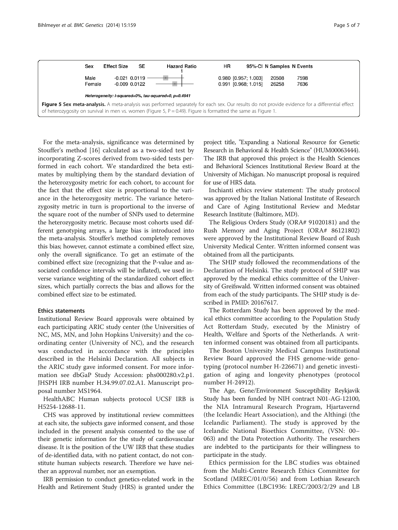<span id="page-4-0"></span>

For the meta-analysis, significance was determined by Stouffer's method [[16\]](#page-6-0) calculated as a two-sided test by incorporating Z-scores derived from two-sided tests performed in each cohort. We standardized the beta estimates by multiplying them by the standard deviation of the heterozygosity metric for each cohort, to account for the fact that the effect size is proportional to the variance in the heterozygosity metric. The variance heterozygosity metric in turn is proportional to the inverse of the square root of the number of SNPs used to determine the heterozygosity metric. Because most cohorts used different genotyping arrays, a large bias is introduced into the meta-analysis. Stouffer's method completely removes this bias; however, cannot estimate a combined effect size, only the overall significance. To get an estimate of the combined effect size (recognizing that the P-value and associated confidence intervals will be inflated), we used inverse variance weighting of the standardized cohort effect sizes, which partially corrects the bias and allows for the combined effect size to be estimated.

### Ethics statements

Institutional Review Board approvals were obtained by each participating ARIC study center (the Universities of NC, MS, MN, and John Hopkins University) and the coordinating center (University of NC), and the research was conducted in accordance with the principles described in the Helsinki Declaration. All subjects in the ARIC study gave informed consent. For more information see dbGaP Study Accession: phs000280.v2.p1. JHSPH IRB number H.34.99.07.02.A1. Manuscript proposal number MS1964.

HealthABC Human subjects protocol UCSF IRB is H5254-12688-11.

CHS was approved by institutional review committees at each site, the subjects gave informed consent, and those included in the present analysis consented to the use of their genetic information for the study of cardiovascular disease. It is the position of the UW IRB that these studies of de-identified data, with no patient contact, do not constitute human subjects research. Therefore we have neither an approval number, nor an exemption.

IRB permission to conduct genetics-related work in the Health and Retirement Study (HRS) is granted under the

project title, "Expanding a National Resource for Genetic Research in Behavioral & Health Science" (HUM00063444). The IRB that approved this project is the Health Sciences and Behavioral Sciences Institutional Review Board at the University of Michigan. No manuscript proposal is required for use of HRS data.

Inchianti ethics review statement: The study protocol was approved by the Italian National Institute of Research and Care of Aging Institutional Review and Medstar Research Institute (Baltimore, MD).

The Religious Orders Study (ORA# 91020181) and the Rush Memory and Aging Project (ORA# 86121802) were approved by the Institutional Review Board of Rush University Medical Center. Written informed consent was obtained from all the participants.

The SHIP study followed the recommendations of the Declaration of Helsinki. The study protocol of SHIP was approved by the medical ethics committee of the University of Greifswald. Written informed consent was obtained from each of the study participants. The SHIP study is described in PMID: 20167617.

The Rotterdam Study has been approved by the medical ethics committee according to the Population Study Act Rotterdam Study, executed by the Ministry of Health, Welfare and Sports of the Netherlands. A written informed consent was obtained from all participants.

The Boston University Medical Campus Institutional Review Board approved the FHS genome-wide genotyping (protocol number H-226671) and genetic investigation of aging and longevity phenotypes (protocol number H-24912).

The Age, Gene/Environment Susceptibility Reykjavik Study has been funded by NIH contract N01-AG-12100, the NIA Intramural Research Program, Hjartavernd (the Icelandic Heart Association), and the Althingi (the Icelandic Parliament). The study is approved by the Icelandic National Bioethics Committee, (VSN: 00– 063) and the Data Protection Authority. The researchers are indebted to the participants for their willingness to participate in the study.

Ethics permission for the LBC studies was obtained from the Multi-Centre Research Ethics Committee for Scotland (MREC/01/0/56) and from Lothian Research Ethics Committee (LBC1936: LREC/2003/2/29 and LB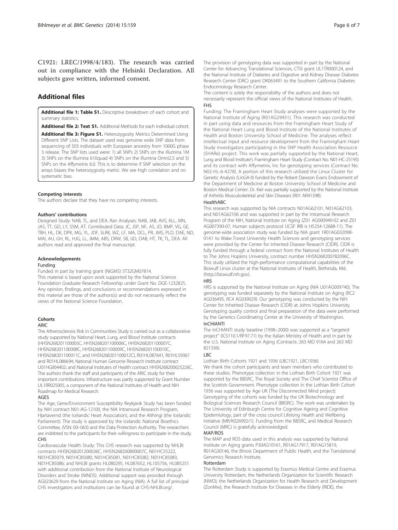<span id="page-5-0"></span>C1921: LREC/1998/4/183). The research was carried out in compliance with the Helsinki Declaration. All subjects gave written, informed consent.

# Additional files

[Additional file 1: Table S1.](http://www.biomedcentral.com/content/supplementary/s12863-014-0159-7-s1.docx) Descriptive breakdown of each cohort and summary statistics.

[Additional file 2: Text S1.](http://www.biomedcentral.com/content/supplementary/s12863-014-0159-7-s2.docx) Additional Methods for each individual cohort.

[Additional file 3: Figure S1.](http://www.biomedcentral.com/content/supplementary/s12863-014-0159-7-s3.png) Heterozygosity Metrics Determined Using Different SNP Lists. The dataset used was genome wide SNP data from sequencing of 503 individuals with European ancestry from 1000G phase 3 release. The SNP lists used were: 1) all SNPs 2) SNPs on the Illumina 1M 3) SNPs on the Illumina 610quad 4) SNPs on the Illumina Omni2.5 and 5) SNPs on the Affymetrix 6.0. This is to determine if SNP selection on the arrays biases the heterozygosity metric. We see high correlation and no systematic bias.

#### Competing interests

The authors declare that they have no competing interests.

#### Authors' contributions

Designed Study: NAB, TL, and DEA. Ran Analyses: NAB, JAB, AVS, KLL, MN, JAS, TT, GD, LY, SSM, AT. Contributed Data: JC, JSP, NF, AS, JO, BMP, VG, GE, TBH, HL, DK, DPK, MG, YL, JDF, SLRK, WZ, LF, MA, DCL, PR, JMS, PLD, DAE, ND, MAI, AU, GH, RL, HJG, LL, JMM, ABS, DRW, SB, IJD, DAB, HT, TK, TL, DEA. All authors read and approved the final manuscript.

#### Acknowledgements

#### Funding

Funded in part by training grant (NIGMS) 5T32GM07814. This material is based upon work supported by the National Science Foundation Graduate Research Fellowship under Grant No. DGE-1232825. Any opinion, findings, and conclusions or recommendations expressed in this material are those of the authors(s) and do not necessarily reflect the views of the National Science Foundation.

#### Cohorts

#### ARIC

The Atherosclerosis Risk in Communities Study is carried out as a collaborative study supported by National Heart, Lung, and Blood Institute contracts (HHSN268201100005C, HHSN268201100006C, HHSN268201100007C, HHSN268201100008C, HHSN268201100009C, HHSN268201100010C, HHSN268201100011C, and HHSN268201100012C), R01HL087641, R01HL59367 and R01HL086694; National Human Genome Research Institute contract U01HG004402; and National Institutes of Health contract HHSN268200625226C. The authors thank the staff and participants of the ARIC study for their important contributions. Infrastructure was partly supported by Grant Number UL1RR025005, a component of the National Institutes of Health and NIH Roadmap for Medical Research.

#### AGES

The Age, Gene/Environment Susceptibility Reykjavik Study has been funded by NIH contract N01-AG-12100, the NIA Intramural Research Program, Hjartavernd (the Icelandic Heart Association), and the Althingi (the Icelandic Parliament). The study is approved by the Icelandic National Bioethics Committee, (VSN: 00–063) and the Data Protection Authority. The researchers are indebted to the participants for their willingness to participate in the study. CHS

Cardiovascular Health Study: This CHS research was supported by NHLBI contracts HHSN268201200036C, HHSN268200800007C, N01HC55222, N01HC85079, N01HC85080, N01HC85081, N01HC85082, N01HC85083, N01HC85086; and NHLBI grants HL080295, HL087652, HL105756, HL085251 with additional contribution from the National Institute of Neurological Disorders and Stroke (NINDS). Additional support was provided through AG023629 from the National Institute on Aging (NIA). A full list of principal CHS investigators and institutions can be found at CHS-NHLBI.org/.

The provision of genotyping data was supported in part by the National Center for Advancing Translational Sciences, CTSI grant UL1TR000124, and the National Institute of Diabetes and Digestive and Kidney Disease Diabetes Research Center (DRC) grant DK063491 to the Southern California Diabetes Endocrinology Research Center.

The content is solely the responsibility of the authors and does not necessarily represent the official views of the National Institutes of Health. FHS

Funding: The Framingham Heart Study analyses were supported by the National Institute of Aging (R01AG29451). This research was conducted in part using data and resources from the Framingham Heart Study of the National Heart Lung and Blood Institute of the National Institutes of Health and Boston University School of Medicine. The analyses reflect intellectual input and resource development from the Framingham Heart Study investigators participating in the SNP Health Association Resource (SHARe) project. This work was partially supported by the National Heart, Lung and Blood Institute's Framingham Heart Study (Contract No. N01-HC-25195) and its contract with Affymetrix, Inc for genotyping services (Contract No. N02-HL-6-4278). A portion of this research utilized the Linux Cluster for Genetic Analysis (LinGA-II) funded by the Robert Dawson Evans Endowment of the Department of Medicine at Boston University School of Medicine and Boston Medical Center. Dr. Kiel was partially supported by the National Institute of Arthritis Musculoskeletal and Skin Diseases (R01 AR41398).

#### **HealthABC**

This research was supported by NIA contracts N01AG62101, N01AG62103, and N01AG62106 and was supported in part by the Intramural Research Program of the NIH, National Institute on Aging (Z01 AG000949-02 and Z01 AG007390-07, Human subjects protocol UCSF IRB is H5254-12688-11). The genome-wide association study was funded by NIA grant 1R01AG032098- 01A1 to Wake Forest University Health Sciences and genotyping services were provided by the Center for Inherited Disease Research (CIDR). CIDR is fully funded through a federal contract from the National Institutes of Health to The Johns Hopkins University, contract number HHSN268200782096C. This study utilized the high-performance computational capabilities of the Biowulf Linux cluster at the National Institutes of Health, Bethesda, Md. ([http://biowulf.nih.gov\)](http://biowulf.nih.gov).

#### **HRS**

HRS is supported by the National Institute on Aging (NIA U01AG009740). The genotyping was funded separately by the National Institute on Aging (RC2 AG036495, RC4 AG039029). Our genotyping was conducted by the NIH Center for Inherited Disease Research (CIDR) at Johns Hopkins University. Genotyping quality control and final preparation of the data were performed by the Genetics Coordinating Center at the University of Washington.

#### InCHIANTI

The InCHIANTI study baseline (1998–2000) was supported as a "targeted project" (ICS110.1/RF97.71) by the Italian Ministry of Health and in part by the U.S. National Institute on Aging (Contracts: 263 MD 9164 and 263 MD 821336).

#### LBC

Lothian Birth Cohorts 1921 and 1936 (LBC1921, LBC1936) We thank the cohort participants and team members who contributed to these studies. Phenotype collection in the Lothian Birth Cohort 1921 was supported by the BBSRC, The Royal Society and The Chief Scientist Office of the Scottish Government. Phenotype collection in the Lothian Birth Cohort 1936 was supported by Age UK (The Disconnected Mind project). Genotyping of the cohorts was funded by the UK Biotechnology and Biological Sciences Research Council (BBSRC). The work was undertaken by The University of Edinburgh Centre for Cognitive Ageing and Cognitive Epidemiology, part of the cross council Lifelong Health and Wellbeing Initiative (MR/K026992/1). Funding from the BBSRC, and Medical Research Council (MRC) is gratefully acknowledged.

# MAP/ROS

The MAP and ROS data used in this analysis was supported by National Institute on Aging grants P30AG10161, R01AG17917, R01AG15819, R01AG30146, the Illinois Department of Public Health, and the Translational Genomics Research Institute.

#### Rotterdam

The Rotterdam Study is supported by Erasmus Medical Centre and Erasmus University Rotterdam, the Netherlands Organization for Scientific Research (NWO), the Netherlands Organization for Health Research and Development (ZonMw), the Research Institute for Diseases in the Elderly (RIDE), the